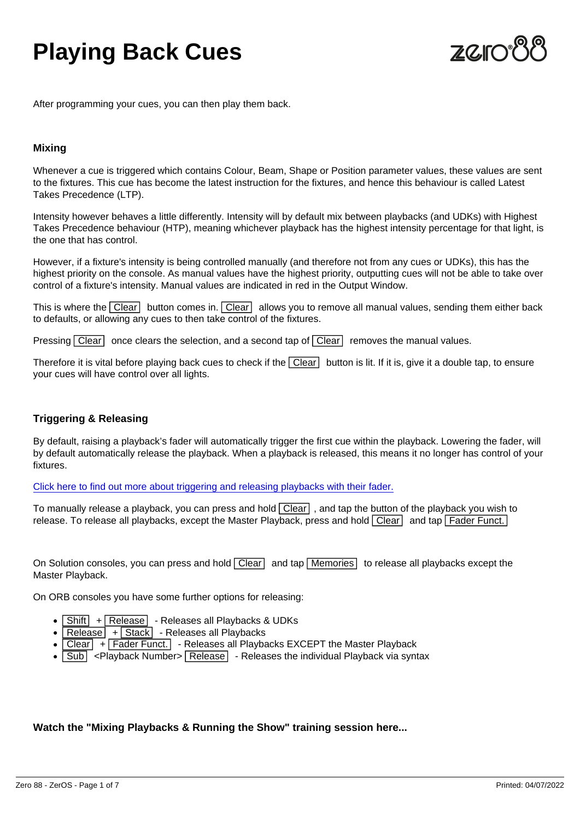# Playing Back Cues

After programming your cues, you can then play them back.

### Mixing

Whenever a cue is triggered which contains Colour, Beam, Shape or Position parameter values, these values are sent to the fixtures. This cue has become the latest instruction for the fixtures, and hence this behaviour is called Latest Takes Precedence (LTP).

Intensity however behaves a little differently. Intensity will by default mix between playbacks (and UDKs) with Highest Takes Precedence behaviour (HTP), meaning whichever playback has the highest intensity percentage for that light, is the one that has control.

However, if a fixture's intensity is being controlled manually (and therefore not from any cues or UDKs), this has the highest priority on the console. As manual values have the highest priority, outputting cues will not be able to take over control of a fixture's intensity. Manual values are indicated in red in the Output Window.

This is where the  $\overline{Clear}$  button comes in.  $\overline{Clear}$  allows you to remove all manual values, sending them either back to defaults, or allowing any cues to then take control of the fixtures.

Pressing  $\boxed{\text{Clear}}$  once clears the selection, and a second tap of  $\boxed{\text{Clear}}$  removes the manual values.

Therefore it is vital before playing back cues to check if the  $\boxed{\text{Clear}}$  button is lit. If it is, give it a double tap, to ensure your cues will have control over all lights.

# Triggering & Releasing

By default, raising a playback's fader will automatically trigger the first cue within the playback. Lowering the fader, will by default automatically release the playback. When a playback is released, this means it no longer has control of your fixtures.

[Click here to find out more about triggering and releasing playbacks with their fader.](/manuals/zeros/cues-playbacks/playback-settings/raise-and-lower)

To manually release a playback, you can press and hold Clear , and tap the button of the playback you wish to release. To release all playbacks, except the Master Playback, press and hold  $\overline{C}$ lear and tap  $\overline{F}$ ader Funct.

On Solution consoles, you can press and hold  $\overline{Clear}$  and tap  $\overline{M$ emories to release all playbacks except the Master Playback.

On ORB consoles you have some further options for releasing:

- Shift | + Release | Releases all Playbacks & UDKs  $\bullet$
- $\bullet$  Release  $+$  Stack Releases all Playbacks
- Clear + Fader Funct. Releases all Playbacks EXCEPT the Master Playback
- $\cdot$   $\overline{\text{Sub}}$  <Playback Number>  $\overline{\text{Release}}$  Releases the individual Playback via syntax

Watch the "Mixing Playbacks & Running the Show" training session here...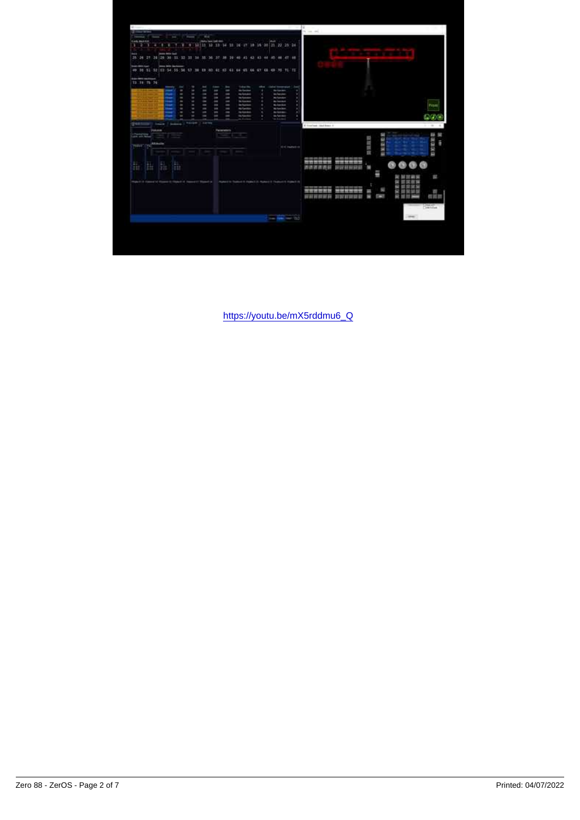https://youtu.be/mX5rddmu6\_Q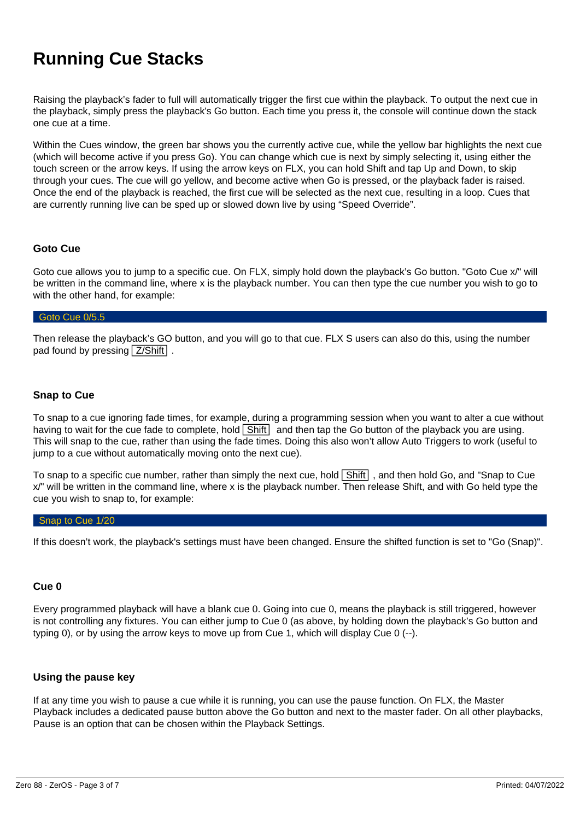# **Running Cue Stacks**

Raising the playback's fader to full will automatically trigger the first cue within the playback. To output the next cue in the playback, simply press the playback's Go button. Each time you press it, the console will continue down the stack one cue at a time.

Within the Cues window, the green bar shows you the currently active cue, while the yellow bar highlights the next cue (which will become active if you press Go). You can change which cue is next by simply selecting it, using either the touch screen or the arrow keys. If using the arrow keys on FLX, you can hold Shift and tap Up and Down, to skip through your cues. The cue will go yellow, and become active when Go is pressed, or the playback fader is raised. Once the end of the playback is reached, the first cue will be selected as the next cue, resulting in a loop. Cues that are currently running live can be sped up or slowed down live by using "Speed Override".

# **Goto Cue**

Goto cue allows you to jump to a specific cue. On FLX, simply hold down the playback's Go button. "Goto Cue x/" will be written in the command line, where x is the playback number. You can then type the cue number you wish to go to with the other hand, for example:

#### Goto Cue 0/5.5

Then release the playback's GO button, and you will go to that cue. FLX S users can also do this, using the number pad found by pressing  $\sqrt{Z/S$ hift .

# **Snap to Cue**

To snap to a cue ignoring fade times, for example, during a programming session when you want to alter a cue without having to wait for the cue fade to complete, hold  $\boxed{\text{Shift}}$  and then tap the Go button of the playback you are using. This will snap to the cue, rather than using the fade times. Doing this also won't allow Auto Triggers to work (useful to jump to a cue without automatically moving onto the next cue).

To snap to a specific cue number, rather than simply the next cue, hold Shift , and then hold Go, and "Snap to Cue x/" will be written in the command line, where x is the playback number. Then release Shift, and with Go held type the cue you wish to snap to, for example:

#### Snap to Cue 1/20

If this doesn't work, the playback's settings must have been changed. Ensure the shifted function is set to "Go (Snap)".

# **Cue 0**

Every programmed playback will have a blank cue 0. Going into cue 0, means the playback is still triggered, however is not controlling any fixtures. You can either jump to Cue 0 (as above, by holding down the playback's Go button and typing 0), or by using the arrow keys to move up from Cue 1, which will display Cue 0 (--).

# **Using the pause key**

If at any time you wish to pause a cue while it is running, you can use the pause function. On FLX, the Master Playback includes a dedicated pause button above the Go button and next to the master fader. On all other playbacks, Pause is an option that can be chosen within the Playback Settings.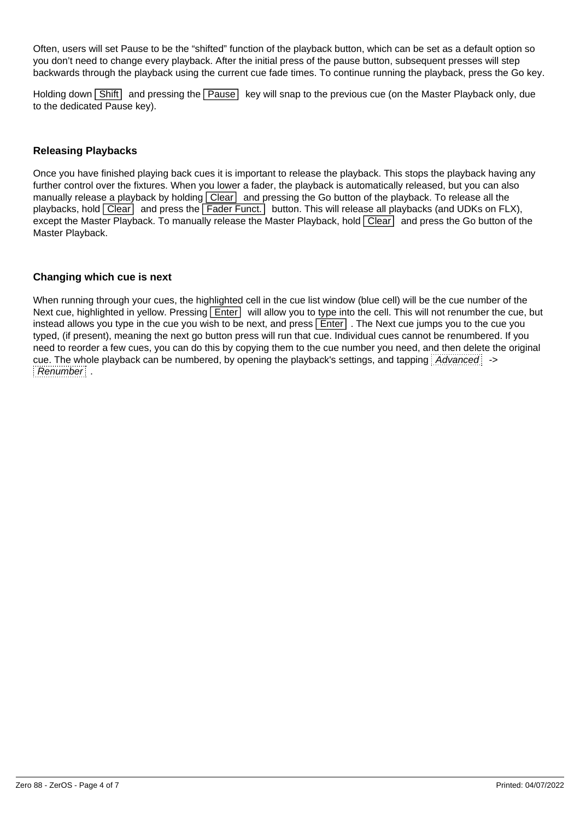Often, users will set Pause to be the "shifted" function of the playback button, which can be set as a default option so you don't need to change every playback. After the initial press of the pause button, subsequent presses will step backwards through the playback using the current cue fade times. To continue running the playback, press the Go key.

Holding down Shift and pressing the Pause key will snap to the previous cue (on the Master Playback only, due to the dedicated Pause key).

# **Releasing Playbacks**

Once you have finished playing back cues it is important to release the playback. This stops the playback having any further control over the fixtures. When you lower a fader, the playback is automatically released, but you can also manually release a playback by holding  $\boxed{\text{Clear}}$  and pressing the Go button of the playback. To release all the playbacks, hold  $\overline{Clear}$  and press the  $\overline{Fader}$  Funct. button. This will release all playbacks (and UDKs on FLX), except the Master Playback. To manually release the Master Playback, hold Clear and press the Go button of the Master Playback.

# **Changing which cue is next**

When running through your cues, the highlighted cell in the cue list window (blue cell) will be the cue number of the Next cue, highlighted in yellow. Pressing **Enter** will allow you to type into the cell. This will not renumber the cue, but instead allows you type in the cue you wish to be next, and press  $\boxed{\text{Enter}}$ . The Next cue jumps you to the cue you typed, (if present), meaning the next go button press will run that cue. Individual cues cannot be renumbered. If you need to reorder a few cues, you can do this by copying them to the cue number you need, and then delete the original cue. The whole playback can be numbered, by opening the playback's settings, and tapping *Advanced*: -> Renumber .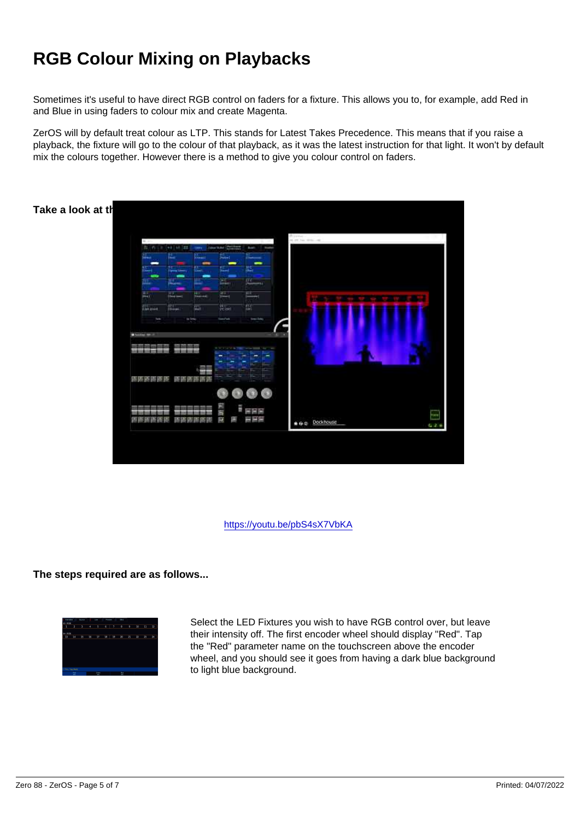# RGB Colour Mixing on Playbacks

Sometimes it's useful to have direct RGB control on faders for a fixture. This allows you to, for example, add Red in and Blue in using faders to colour mix and create Magenta.

ZerOS will by default treat colour as LTP. This stands for Latest Takes Precedence. This means that if you raise a playback, the fixture will go to the colour of that playback, as it was the latest instruction for that light. It won't by default mix the colours together. However there is a method to give you colour control on faders.

Take a look at the tutorial below to guide you through the steps...

https://youtu.be/pbS4sX7VbKA

The steps required are as follows...

Select the LED Fixtures you wish to have RGB control over, but leave their intensity off. The first encoder wheel should display "Red". Tap the "Red" parameter name on the touchscreen above the encoder wheel, and you should see it goes from having a dark blue background to light blue background.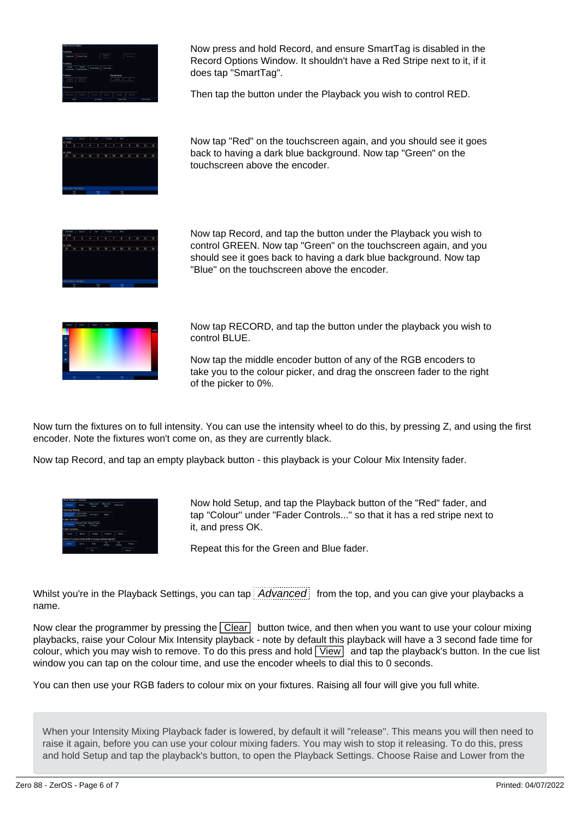

Now press and hold Record, and ensure SmartTag is disabled in the Record Options Window. It shouldn't have a Red Stripe next to it, if it does tap "SmartTag".

Then tap the button under the Playback you wish to control RED.



Now tap "Red" on the touchscreen again, and you should see it goes back to having a dark blue background. Now tap "Green" on the touchscreen above the encoder.



Now tap Record, and tap the button under the Playback you wish to control GREEN. Now tap "Green" on the touchscreen again, and you should see it goes back to having a dark blue background. Now tap "Blue" on the touchscreen above the encoder.



Now tap RECORD, and tap the button under the playback you wish to control BLUE.

Now tap the middle encoder button of any of the RGB encoders to take you to the colour picker, and drag the onscreen fader to the right of the picker to 0%.

Now turn the fixtures on to full intensity. You can use the intensity wheel to do this, by pressing Z, and using the first encoder. Note the fixtures won't come on, as they are currently black.

Now tap Record, and tap an empty playback button - this playback is your Colour Mix Intensity fader.



Now hold Setup, and tap the Playback button of the "Red" fader, and tap "Colour" under "Fader Controls..." so that it has a red stripe next to it, and press OK.

Repeat this for the Green and Blue fader.

Whilst you're in the Playback Settings, you can tap  $\overline{A}$  Advanced from the top, and you can give your playbacks a name.

Now clear the programmer by pressing the  $\sqrt{C}$  clear button twice, and then when you want to use your colour mixing playbacks, raise your Colour Mix Intensity playback - note by default this playback will have a 3 second fade time for colour, which you may wish to remove. To do this press and hold  $\boxed{\text{View}}$  and tap the playback's button. In the cue list window you can tap on the colour time, and use the encoder wheels to dial this to 0 seconds.

You can then use your RGB faders to colour mix on your fixtures. Raising all four will give you full white.

When your Intensity Mixing Playback fader is lowered, by default it will "release". This means you will then need to raise it again, before you can use your colour mixing faders. You may wish to stop it releasing. To do this, press and hold Setup and tap the playback's button, to open the Playback Settings. Choose Raise and Lower from the